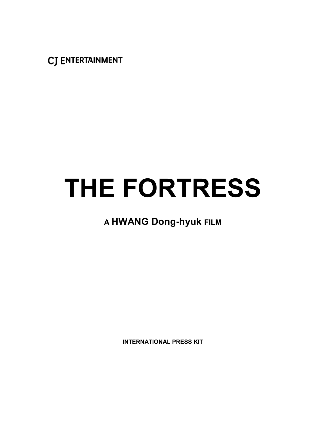**CJ ENTERTAINMENT** 

# **THE FORTRESS**

# **A HWANG Dong-hyuk FILM**

**INTERNATIONAL PRESS KIT**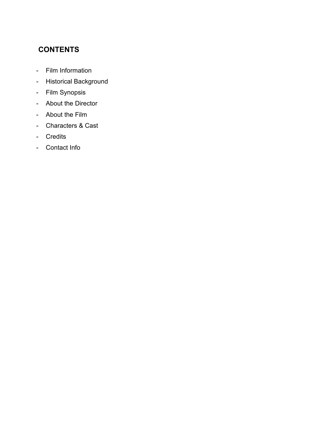# **CONTENTS**

- Film Information
- Historical Background
- Film Synopsis
- About the Director
- About the Film
- Characters & Cast
- Credits
- Contact Info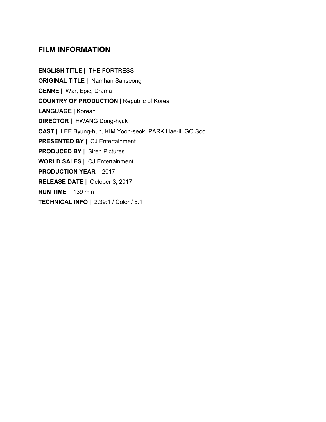# **FILM INFORMATION**

**ENGLISH TITLE |** THE FORTRESS **ORIGINAL TITLE |** Namhan Sanseong **GENRE |** War, Epic, Drama **COUNTRY OF PRODUCTION |** Republic of Korea **LANGUAGE |** Korean **DIRECTOR |** HWANG Dong-hyuk **CAST |** LEE Byung-hun, KIM Yoon-seok, PARK Hae-il, GO Soo **PRESENTED BY |** CJ Entertainment **PRODUCED BY |** Siren Pictures **WORLD SALES |** CJ Entertainment **PRODUCTION YEAR |** 2017 **RELEASE DATE |** October 3, 2017 **RUN TIME |** 139 min **TECHNICAL INFO |** 2.39:1 / Color / 5.1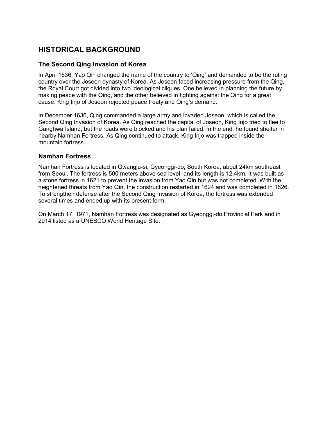# **HISTORICAL BACKGROUND**

#### **The Second Qing Invasion of Korea**

In April 1636, Yao Qin changed the name of the country to 'Qing' and demanded to be the ruling country over the Joseon dynasty of Korea. As Joseon faced increasing pressure from the Qing, the Royal Court got divided into two ideological cliques. One believed in planning the future by making peace with the Qing, and the other believed in fighting against the Qing for a great cause. King Injo of Joseon rejected peace treaty and Qing's demand.

In December 1636, Qing commanded a large army and invaded Joseon, which is called the Second Qing Invasion of Korea. As Qing reached the capital of Joseon, King Injo tried to flee to Ganghwa Island, but the roads were blocked and his plan failed. In the end, he found shelter in nearby Namhan Fortress. As Qing continued to attack, King Injo was trapped inside the mountain fortress.

#### **Namhan Fortress**

Namhan Fortress is located in Gwangju-si, Gyeonggi-do, South Korea, about 24km southeast from Seoul. The fortress is 500 meters above sea level, and its length is 12.4km. It was built as a stone fortress in 1621 to prevent the invasion from Yao Qin but was not completed. With the heightened threats from Yao Qin, the construction restarted in 1624 and was completed in 1626. To strengthen defense after the Second Qing Invasion of Korea, the fortress was extended several times and ended up with its present form.

On March 17, 1971, Namhan Fortress was designated as Gyeonggi-do Provincial Park and in 2014 listed as a UNESCO World Heritage Site.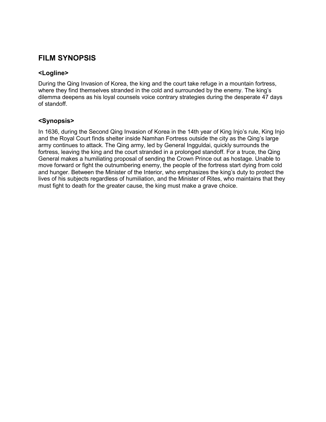# **FILM SYNOPSIS**

#### **<Logline>**

During the Qing Invasion of Korea, the king and the court take refuge in a mountain fortress, where they find themselves stranded in the cold and surrounded by the enemy. The king's dilemma deepens as his loyal counsels voice contrary strategies during the desperate 47 days of standoff.

#### **<Synopsis>**

In 1636, during the Second Qing Invasion of Korea in the 14th year of King Injo's rule, King Injo and the Royal Court finds shelter inside Namhan Fortress outside the city as the Qing's large army continues to attack. The Qing army, led by General Ingguldai, quickly surrounds the fortress, leaving the king and the court stranded in a prolonged standoff. For a truce, the Qing General makes a humiliating proposal of sending the Crown Prince out as hostage. Unable to move forward or fight the outnumbering enemy, the people of the fortress start dying from cold and hunger. Between the Minister of the Interior, who emphasizes the king's duty to protect the lives of his subjects regardless of humiliation, and the Minister of Rites, who maintains that they must fight to death for the greater cause, the king must make a grave choice.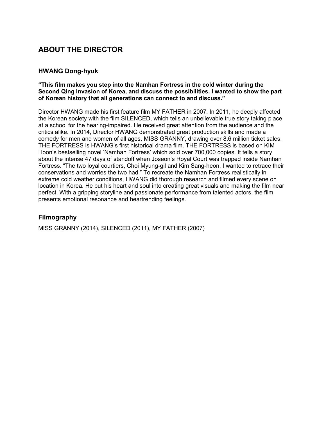# **ABOUT THE DIRECTOR**

#### **HWANG Dong-hyuk**

#### **"This film makes you step into the Namhan Fortress in the cold winter during the Second Qing Invasion of Korea, and discuss the possibilities. I wanted to show the part of Korean history that all generations can connect to and discuss."**

Director HWANG made his first feature film MY FATHER in 2007. In 2011, he deeply affected the Korean society with the film SILENCED, which tells an unbelievable true story taking place at a school for the hearing-impaired. He received great attention from the audience and the critics alike. In 2014, Director HWANG demonstrated great production skills and made a comedy for men and women of all ages, MISS GRANNY, drawing over 8.6 million ticket sales. THE FORTRESS is HWANG's first historical drama film. THE FORTRESS is based on KIM Hoon's bestselling novel 'Namhan Fortress' which sold over 700,000 copies. It tells a story about the intense 47 days of standoff when Joseon's Royal Court was trapped inside Namhan Fortress. "The two loyal courtiers, Choi Myung-gil and Kim Sang-heon. I wanted to retrace their conservations and worries the two had." To recreate the Namhan Fortress realistically in extreme cold weather conditions, HWANG did thorough research and filmed every scene on location in Korea. He put his heart and soul into creating great visuals and making the film near perfect. With a gripping storyline and passionate performance from talented actors, the film presents emotional resonance and heartrending feelings.

#### **Filmography**

MISS GRANNY (2014), SILENCED (2011), MY FATHER (2007)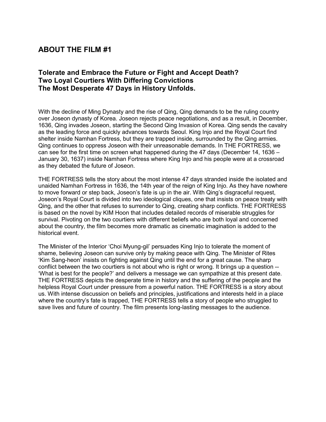## **Tolerate and Embrace the Future or Fight and Accept Death? Two Loyal Courtiers With Differing Convictions The Most Desperate 47 Days in History Unfolds.**

With the decline of Ming Dynasty and the rise of Qing, Qing demands to be the ruling country over Joseon dynasty of Korea. Joseon rejects peace negotiations, and as a result, in December, 1636, Qing invades Joseon, starting the Second Qing Invasion of Korea. Qing sends the cavalry as the leading force and quickly advances towards Seoul. King Injo and the Royal Court find shelter inside Namhan Fortress, but they are trapped inside, surrounded by the Qing armies. Qing continues to oppress Joseon with their unreasonable demands. In THE FORTRESS, we can see for the first time on screen what happened during the 47 days (December 14, 1636 – January 30, 1637) inside Namhan Fortress where King Injo and his people were at a crossroad as they debated the future of Joseon.

THE FORTRESS tells the story about the most intense 47 days stranded inside the isolated and unaided Namhan Fortress in 1636, the 14th year of the reign of King Injo. As they have nowhere to move forward or step back, Joseon's fate is up in the air. With Qing's disgraceful request, Joseon's Royal Court is divided into two ideological cliques, one that insists on peace treaty with Qing, and the other that refuses to surrender to Qing, creating sharp conflicts. THE FORTRESS is based on the novel by KIM Hoon that includes detailed records of miserable struggles for survival. Pivoting on the two courtiers with different beliefs who are both loyal and concerned about the country, the film becomes more dramatic as cinematic imagination is added to the historical event.

The Minister of the Interior 'Choi Myung-gil' persuades King Injo to tolerate the moment of shame, believing Joseon can survive only by making peace with Qing. The Minister of Rites 'Kim Sang-heon' insists on fighting against Qing until the end for a great cause. The sharp conflict between the two courtiers is not about who is right or wrong. It brings up a question -- 'What is best for the people?' and delivers a message we can sympathize at this present date. THE FORTRESS depicts the desperate time in history and the suffering of the people and the helpless Royal Court under pressure from a powerful nation. THE FORTRESS is a story about us. With intense discussion on beliefs and principles, justifications and interests held in a place where the country's fate is trapped, THE FORTRESS tells a story of people who struggled to save lives and future of country. The film presents long-lasting messages to the audience.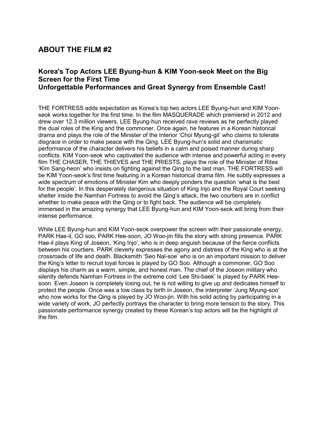## **Korea's Top Actors LEE Byung-hun & KIM Yoon-seok Meet on the Big Screen for the First Time Unforgettable Performances and Great Synergy from Ensemble Cast!**

THE FORTRESS adds expectation as Korea's top two actors LEE Byung-hun and KIM Yoonseok works together for the first time. In the film MASQUERADE which premiered in 2012 and drew over 12.3 million viewers, LEE Byung-hun received rave reviews as he perfectly played the dual roles of the King and the commoner. Once again, he features in a Korean historical drama and plays the role of the Minister of the Interior 'Choi Myung-gil' who claims to tolerate disgrace in order to make peace with the Qing. LEE Byung-hun's solid and charismatic performance of the character delivers his beliefs in a calm and poised manner during sharp conflicts. KIM Yoon-seok who captivated the audience with intense and powerful acting in every film THE CHASER, THE THIEVES and THE PRIESTS, plays the role of the Minister of Rites 'Kim Sang-heon' who insists on fighting against the Qing to the last man. THE FORTRESS will be KIM Yoon-seok's first time featuring in a Korean historical drama film. He subtly expresses a wide spectrum of emotions of Minister Kim who deeply ponders the question 'what is the best for the people'. In this desperately dangerous situation of King Injo and the Royal Court seeking shelter inside the Namhan Fortress to avoid the Qing's attack, the two courtiers are in conflict whether to make peace with the Qing or to fight back. The audience will be completely immersed in the amazing synergy that LEE Byung-hun and KIM Yoon-seok will bring from their intense performance.

While LEE Byung-hun and KIM Yoon-seok overpower the screen with their passionate energy, PARK Hae-il, GO soo, PARK Hee-soon, JO Woo-jin fills the story with strong presence. PARK Hae-il plays King of Joseon, 'King Injo', who is in deep anguish because of the fierce conflicts between his courtiers. PARK cleverly expresses the agony and distress of the King who is at the crossroads of life and death. Blacksmith 'Seo Nal-soe' who is on an important mission to deliver the King's letter to recruit loyal forces is played by GO Soo. Although a commoner, GO Soo displays his charm as a warm, simple, and honest man. The chief of the Joseon military who silently defends Namhan Fortress in the extreme cold 'Lee Shi-baek' is played by PARK Heesoon. Even Joseon is completely losing out, he is not willing to give up and dedicates himself to protect the people. Once was a low class by birth in Joseon, the interpreter 'Jung Myung-soo' who now works for the Qing is played by JO Woo-jin. With his solid acting by participating in a wide variety of work, JO perfectly portrays the character to bring more tension to the story. This passionate performance synergy created by these Korean's top actors will be the highlight of the film.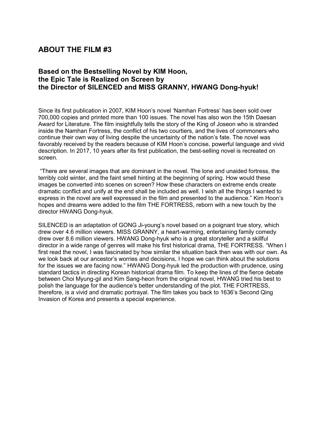# **Based on the Bestselling Novel by KIM Hoon, the Epic Tale is Realized on Screen by the Director of SILENCED and MISS GRANNY, HWANG Dong-hyuk!**

Since its first publication in 2007, KIM Hoon's novel 'Namhan Fortress' has been sold over 700,000 copies and printed more than 100 issues. The novel has also won the 15th Daesan Award for Literature. The film insightfully tells the story of the King of Joseon who is stranded inside the Namhan Fortress, the conflict of his two courtiers, and the lives of commoners who continue their own way of living despite the uncertainty of the nation's fate. The novel was favorably received by the readers because of KIM Hoon's concise, powerful language and vivid description. In 2017, 10 years after its first publication, the best-selling novel is recreated on screen.

"There are several images that are dominant in the novel. The lone and unaided fortress, the terribly cold winter, and the faint smell hinting at the beginning of spring. How would these images be converted into scenes on screen? How these characters on extreme ends create dramatic conflict and unify at the end shall be included as well. I wish all the things I wanted to express in the novel are well expressed in the film and presented to the audience." Kim Hoon's hopes and dreams were added to the film THE FORTRESS, reborn with a new touch by the director HWANG Dong-hyuk.

SILENCED is an adaptation of GONG Ji-young's novel based on a poignant true story, which drew over 4.6 million viewers. MISS GRANNY, a heart-warming, entertaining family comedy drew over 8.6 million viewers. HWANG Dong-hyuk who is a great storyteller and a skillful director in a wide range of genres will make his first historical drama, THE FORTRESS. "When I first read the novel, I was fascinated by how similar the situation back then was with our own. As we look back at our ancestor's worries and decisions, I hope we can think about the solutions for the issues we are facing now." HWANG Dong-hyuk led the production with prudence, using standard tactics in directing Korean historical drama film. To keep the lines of the fierce debate between Choi Myung-gil and Kim Sang-heon from the original novel, HWANG tried his best to polish the language for the audience's better understanding of the plot. THE FORTRESS, therefore, is a vivid and dramatic portrayal. The film takes you back to 1636's Second Qing Invasion of Korea and presents a special experience.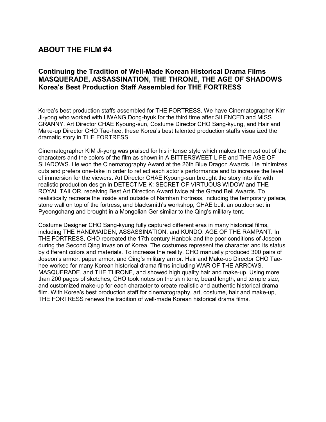# **Continuing the Tradition of Well-Made Korean Historical Drama Films MASQUERADE, ASSASSINATION, THE THRONE, THE AGE OF SHADOWS Korea's Best Production Staff Assembled for THE FORTRESS**

Korea's best production staffs assembled for THE FORTRESS. We have Cinematographer Kim Ji-yong who worked with HWANG Dong-hyuk for the third time after SILENCED and MISS GRANNY. Art Director CHAE Kyoung-sun, Costume Director CHO Sang-kyung, and Hair and Make-up Director CHO Tae-hee, these Korea's best talented production staffs visualized the dramatic story in THE FORTRESS.

Cinematographer KIM Ji-yong was praised for his intense style which makes the most out of the characters and the colors of the film as shown in A BITTERSWEET LIFE and THE AGE OF SHADOWS. He won the Cinematography Award at the 26th Blue Dragon Awards. He minimizes cuts and prefers one-take in order to reflect each actor's performance and to increase the level of immersion for the viewers. Art Director CHAE Kyoung-sun brought the story into life with realistic production design in DETECTIVE K: SECRET OF VIRTUOUS WIDOW and THE ROYAL TAILOR, receiving Best Art Direction Award twice at the Grand Bell Awards. To realistically recreate the inside and outside of Namhan Fortress, including the temporary palace, stone wall on top of the fortress, and blacksmith's workshop, CHAE built an outdoor set in Pyeongchang and brought in a Mongolian Ger similar to the Qing's military tent.

Costume Designer CHO Sang-kyung fully captured different eras in many historical films, including THE HANDMAIDEN, ASSASSINATION, and KUNDO: AGE OF THE RAMPANT. In THE FORTRESS, CHO recreated the 17th century Hanbok and the poor conditions of Joseon during the Second Qing Invasion of Korea. The costumes represent the character and its status by different colors and materials. To increase the reality, CHO manually produced 300 pairs of Joseon's armor, paper armor, and Qing's military armor. Hair and Make-up Director CHO Taehee worked for many Korean historical drama films including WAR OF THE ARROWS, MASQUERADE, and THE THRONE, and showed high quality hair and make-up. Using more than 200 pages of sketches, CHO took notes on the skin tone, beard length, and temple size, and customized make-up for each character to create realistic and authentic historical drama film. With Korea's best production staff for cinematography, art, costume, hair and make-up, THE FORTRESS renews the tradition of well-made Korean historical drama films.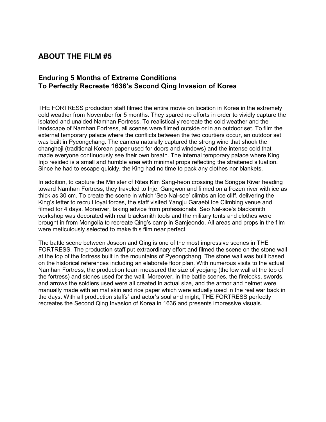## **Enduring 5 Months of Extreme Conditions To Perfectly Recreate 1636's Second Qing Invasion of Korea**

THE FORTRESS production staff filmed the entire movie on location in Korea in the extremely cold weather from November for 5 months. They spared no efforts in order to vividly capture the isolated and unaided Namhan Fortress. To realistically recreate the cold weather and the landscape of Namhan Fortress, all scenes were filmed outside or in an outdoor set. To film the external temporary palace where the conflicts between the two courtiers occur, an outdoor set was built in Pyeongchang. The camera naturally captured the strong wind that shook the changhoji (traditional Korean paper used for doors and windows) and the intense cold that made everyone continuously see their own breath. The internal temporary palace where King Injo resided is a small and humble area with minimal props reflecting the straitened situation. Since he had to escape quickly, the King had no time to pack any clothes nor blankets.

In addition, to capture the Minister of Rites Kim Sang-heon crossing the Songpa River heading toward Namhan Fortress, they traveled to Inje, Gangwon and filmed on a frozen river with ice as thick as 30 cm. To create the scene in which 'Seo Nal-soe' climbs an ice cliff, delivering the King's letter to recruit loyal forces, the staff visited Yangju Garaebi Ice Climbing venue and filmed for 4 days. Moreover, taking advice from professionals, Seo Nal-soe's blacksmith workshop was decorated with real blacksmith tools and the military tents and clothes were brought in from Mongolia to recreate Qing's camp in Samjeondo. All areas and props in the film were meticulously selected to make this film near perfect.

The battle scene between Joseon and Qing is one of the most impressive scenes in THE FORTRESS. The production staff put extraordinary effort and filmed the scene on the stone wall at the top of the fortress built in the mountains of Pyeongchang. The stone wall was built based on the historical references including an elaborate floor plan. With numerous visits to the actual Namhan Fortress, the production team measured the size of yeojang (the low wall at the top of the fortress) and stones used for the wall. Moreover, in the battle scenes, the firelocks, swords, and arrows the soldiers used were all created in actual size, and the armor and helmet were manually made with animal skin and rice paper which were actually used in the real war back in the days. With all production staffs' and actor's soul and might, THE FORTRESS perfectly recreates the Second Qing Invasion of Korea in 1636 and presents impressive visuals.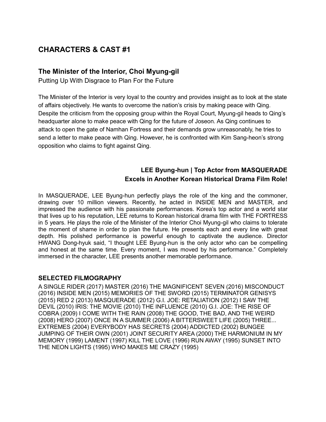# **The Minister of the Interior, Choi Myung-gil**

Putting Up With Disgrace to Plan For the Future

The Minister of the Interior is very loyal to the country and provides insight as to look at the state of affairs objectively. He wants to overcome the nation's crisis by making peace with Qing. Despite the criticism from the opposing group within the Royal Court, Myung-gil heads to Qing's headquarter alone to make peace with Qing for the future of Joseon. As Qing continues to attack to open the gate of Namhan Fortress and their demands grow unreasonably, he tries to send a letter to make peace with Qing. However, he is confronted with Kim Sang-heon's strong opposition who claims to fight against Qing.

# **LEE Byung-hun | Top Actor from MASQUERADE Excels in Another Korean Historical Drama Film Role!**

In MASQUERADE, LEE Byung-hun perfectly plays the role of the king and the commoner, drawing over 10 million viewers. Recently, he acted in INSIDE MEN and MASTER, and impressed the audience with his passionate performances. Korea's top actor and a world star that lives up to his reputation, LEE returns to Korean historical drama film with THE FORTRESS in 5 years. He plays the role of the Minister of the Interior Choi Myung-gil who claims to tolerate the moment of shame in order to plan the future. He presents each and every line with great depth. His polished performance is powerful enough to captivate the audience. Director HWANG Dong-hyuk said, "I thought LEE Byung-hun is the only actor who can be compelling and honest at the same time. Every moment, I was moved by his performance." Completely immersed in the character, LEE presents another memorable performance.

#### **SELECTED FILMOGRAPHY**

A SINGLE RIDER (2017) MASTER (2016) THE MAGNIFICENT SEVEN (2016) MISCONDUCT (2016) INSIDE MEN (2015) MEMORIES OF THE SWORD (2015) TERMINATOR GENISYS (2015) RED 2 (2013) MASQUERADE (2012) G.I. JOE: RETALIATION (2012) I SAW THE DEVIL (2010) IRIS: THE MOVIE (2010) THE INFLUENCE (2010) G.I. JOE: THE RISE OF COBRA (2009) I COME WITH THE RAIN (2008) THE GOOD, THE BAD, AND THE WEIRD (2008) HERO (2007) ONCE IN A SUMMER (2006) A BITTERSWEET LIFE (2005) THREE... EXTREMES (2004) EVERYBODY HAS SECRETS (2004) ADDICTED (2002) BUNGEE JUMPING OF THEIR OWN (2001) JOINT SECURITY AREA (2000) THE HARMONIUM IN MY MEMORY (1999) LAMENT (1997) KILL THE LOVE (1996) RUN AWAY (1995) SUNSET INTO THE NEON LIGHTS (1995) WHO MAKES ME CRAZY (1995)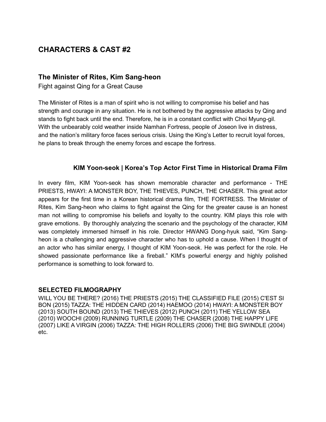## **The Minister of Rites, Kim Sang-heon**

Fight against Qing for a Great Cause

The Minister of Rites is a man of spirit who is not willing to compromise his belief and has strength and courage in any situation. He is not bothered by the aggressive attacks by Qing and stands to fight back until the end. Therefore, he is in a constant conflict with Choi Myung-gil. With the unbearably cold weather inside Namhan Fortress, people of Joseon live in distress, and the nation's military force faces serious crisis. Using the King's Letter to recruit loyal forces, he plans to break through the enemy forces and escape the fortress.

#### **KIM Yoon-seok | Korea's Top Actor First Time in Historical Drama Film**

In every film, KIM Yoon-seok has shown memorable character and performance - THE PRIESTS, HWAYI: A MONSTER BOY, THE THIEVES, PUNCH, THE CHASER. This great actor appears for the first time in a Korean historical drama film, THE FORTRESS. The Minister of Rites, Kim Sang-heon who claims to fight against the Qing for the greater cause is an honest man not willing to compromise his beliefs and loyalty to the country. KIM plays this role with grave emotions. By thoroughly analyzing the scenario and the psychology of the character, KIM was completely immersed himself in his role. Director HWANG Dong-hyuk said, "Kim Sangheon is a challenging and aggressive character who has to uphold a cause. When I thought of an actor who has similar energy, I thought of KIM Yoon-seok. He was perfect for the role. He showed passionate performance like a fireball." KIM's powerful energy and highly polished performance is something to look forward to.

#### **SELECTED FILMOGRAPHY**

WILL YOU BE THERE? (2016) THE PRIESTS (2015) THE CLASSIFIED FILE (2015) C'EST SI BON (2015) TAZZA: THE HIDDEN CARD (2014) HAEMOO (2014) HWAYI: A MONSTER BOY (2013) SOUTH BOUND (2013) THE THIEVES (2012) PUNCH (2011) THE YELLOW SEA (2010) WOOCHI (2009) RUNNING TURTLE (2009) THE CHASER (2008) THE HAPPY LIFE (2007) LIKE A VIRGIN (2006) TAZZA: THE HIGH ROLLERS (2006) THE BIG SWINDLE (2004) etc.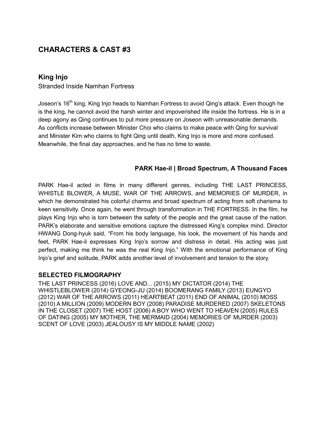# **King Injo**

Stranded Inside Namhan Fortress

Joseon's 16<sup>th</sup> king, King Injo heads to Namhan Fortress to avoid Qing's attack. Even though he is the king, he cannot avoid the harsh winter and impoverished life inside the fortress. He is in a deep agony as Qing continues to put more pressure on Joseon with unreasonable demands. As conflicts increase between Minister Choi who claims to make peace with Qing for survival and Minister Kim who claims to fight Qing until death, King Injo is more and more confused. Meanwhile, the final day approaches, and he has no time to waste.

## **PARK Hae-il | Broad Spectrum, A Thousand Faces**

PARK Hae-il acted in films in many different genres, including THE LAST PRINCESS, WHISTLE BLOWER, A MUSE, WAR OF THE ARROWS, and MEMORIES OF MURDER, in which he demonstrated his colorful charms and broad spectrum of acting from soft charisma to keen sensitivity. Once again, he went through transformation in THE FORTRESS. In the film, he plays King Injo who is torn between the safety of the people and the great cause of the nation. PARK's elaborate and sensitive emotions capture the distressed King's complex mind. Director HWANG Dong-hyuk said, "From his body language, his look, the movement of his hands and feet, PARK Hae-il expresses King Injo's sorrow and distress in detail. His acting was just perfect, making me think he was the real King Injo." With the emotional performance of King Injo's grief and solitude, PARK adds another level of involvement and tension to the story.

#### **SELECTED FILMOGRAPHY**

THE LAST PRINCESS (2016) LOVE AND... (2015) MY DICTATOR (2014) THE WHISTLEBLOWER (2014) GYEONG-JU (2014) BOOMERANG FAMILY (2013) EUNGYO (2012) WAR OF THE ARROWS (2011) HEARTBEAT (2011) END OF ANIMAL (2010) MOSS (2010) A MILLION (2009) MODERN BOY (2008) PARADISE MURDERED (2007) SKELETONS IN THE CLOSET (2007) THE HOST (2006) A BOY WHO WENT TO HEAVEN (2005) RULES OF DATING (2005) MY MOTHER, THE MERMAID (2004) MEMORIES OF MURDER (2003) SCENT OF LOVE (2003) JEALOUSY IS MY MIDDLE NAME (2002)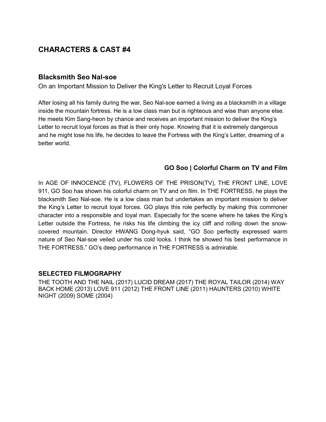#### **Blacksmith Seo Nal-soe**

On an Important Mission to Deliver the King's Letter to Recruit Loyal Forces

After losing all his family during the war, Seo Nal-soe earned a living as a blacksmith in a village inside the mountain fortress. He is a low class man but is righteous and wise than anyone else. He meets Kim Sang-heon by chance and receives an important mission to deliver the King's Letter to recruit loyal forces as that is their only hope. Knowing that it is extremely dangerous and he might lose his life, he decides to leave the Fortress with the King's Letter, dreaming of a better world.

#### **GO Soo | Colorful Charm on TV and Film**

In AGE OF INNOCENCE (TV), FLOWERS OF THE PRISON(TV), THE FRONT LINE, LOVE 911, GO Soo has shown his colorful charm on TV and on film. In THE FORTRESS, he plays the blacksmith Seo Nal-soe. He is a low class man but undertakes an important mission to deliver the King's Letter to recruit loyal forces. GO plays this role perfectly by making this commoner character into a responsible and loyal man. Especially for the scene where he takes the King's Letter outside the Fortress, he risks his life climbing the icy cliff and rolling down the snowcovered mountain. Director HWANG Dong-hyuk said, "GO Soo perfectly expressed warm nature of Seo Nal-soe veiled under his cold looks. I think he showed his best performance in THE FORTRESS." GO's deep performance in THE FORTRESS is admirable.

#### **SELECTED FILMOGRAPHY**

THE TOOTH AND THE NAIL (2017) LUCID DREAM (2017) THE ROYAL TAILOR (2014) WAY BACK HOME (2013) LOVE 911 (2012) THE FRONT LINE (2011) HAUNTERS (2010) WHITE NIGHT (2009) SOME (2004)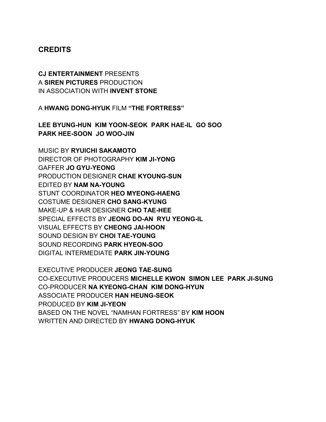# **CREDITS**

# **CJ ENTERTAINMENT** PRESENTS A **SIREN PICTURES** PRODUCTION IN ASSOCIATION WITH **INVENT STONE**

A **HWANG DONG-HYUK** FILM **"THE FORTRESS"**

**LEE BYUNG-HUN KIM YOON-SEOK PARK HAE-IL GO SOO PARK HEE-SOON JO WOO-JIN** 

MUSIC BY **RYUICHI SAKAMOTO** DIRECTOR OF PHOTOGRAPHY **KIM JI-YONG** GAFFER **JO GYU-YEONG** PRODUCTION DESIGNER **CHAE KYOUNG-SUN** EDITED BY **NAM NA-YOUNG** STUNT COORDINATOR **HEO MYEONG-HAENG** COSTUME DESIGNER **CHO SANG-KYUNG** MAKE-UP & HAIR DESIGNER **CHO TAE-HEE**  SPECIAL EFFECTS BY **JEONG DO-AN RYU YEONG-IL** VISUAL EFFECTS BY **CHEONG JAI-HOON** SOUND DESIGN BY **CHOI TAE-YOUNG** SOUND RECORDING **PARK HYEON-SOO** DIGITAL INTERMEDIATE **PARK JIN-YOUNG**

EXECUTIVE PRODUCER **JEONG TAE-SUNG** CO-EXECUTIVE PRODUCERS **MICHELLE KWON SIMON LEE PARK JI-SUNG** CO-PRODUCER **NA KYEONG-CHAN KIM DONG-HYUN** ASSOCIATE PRODUCER **HAN HEUNG-SEOK** PRODUCED BY **KIM JI-YEON** BASED ON THE NOVEL "NAMHAN FORTRESS" BY **KIM HOON**  WRITTEN AND DIRECTED BY **HWANG DONG-HYUK**